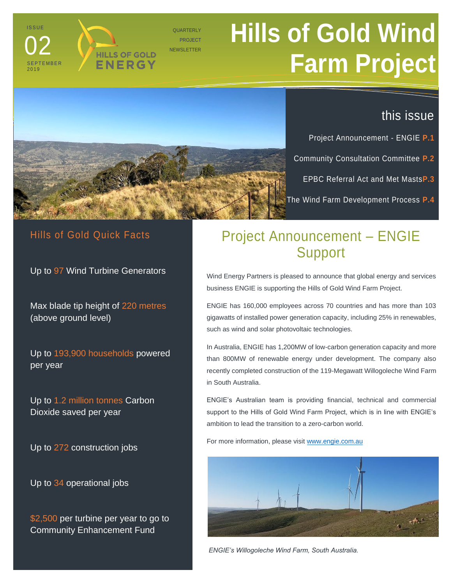# **Hills of Gold Wind Farm Project**



**HILLS OF GOLD** ENERGY

**QUARTERLY** PROJECT **NEWSLETTER** 

### this issue

Project Announcement - ENGIE **P.1**

Community Consultation Committee **P.2**

EPBC Referral Act and Met Masts**P.3**

The Wind Farm Development Process **P.4**

#### Hills of Gold Quick Facts

**ISSUE** 

02

S E P T E M B E R 2 0 1 9

Up to 97 Wind Turbine Generators

Max blade tip height of 220 metres (above ground level)

Up to 193,900 households powered per year

Up to 1.2 million tonnes Carbon Dioxide saved per year

Up to 272 construction jobs

Up to 34 operational jobs

\$2,500 per turbine per year to go to Community Enhancement Fund

# Project Announcement – ENGIE Support

Wind Energy Partners is pleased to announce that global energy and services business ENGIE is supporting the Hills of Gold Wind Farm Project.

ENGIE has 160,000 employees across 70 countries and has more than 103 gigawatts of installed power generation capacity, including 25% in renewables, such as wind and solar photovoltaic technologies.

In Australia, ENGIE has 1,200MW of low-carbon generation capacity and more than 800MW of renewable energy under development. The company also recently completed construction of the 119-Megawatt Willogoleche Wind Farm in South Australia.

ENGIE's Australian team is providing financial, technical and commercial support to the Hills of Gold Wind Farm Project, which is in line with ENGIE's ambition to lead the transition to a zero-carbon world.

For more information, please visi[t www.engie.com.au](http://www.engie.com.au/)



*ENGIE's Willogoleche Wind Farm, South Australia.*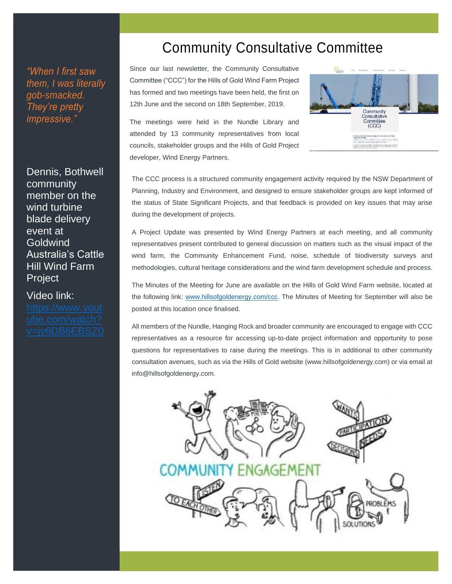*"When I first saw them, I was literally gob-smacked. They're pretty impressive."* 

Dennis, Bothwell community member on the wind turbine blade delivery event at Goldwind Australia's Cattle Hill Wind Farm Project

Video link:

## Community Consultative Committee

Since our last newsletter, the Community Consultative Committee ("CCC") for the Hills of Gold Wind Farm Project has formed and two meetings have been held, the first on 12th June and the second on 18th September, 2019.

The meetings were held in the Nundle Library and attended by 13 community representatives from local councils, stakeholder groups and the Hills of Gold Project developer, Wind Energy Partners.



The CCC process is a structured community engagement activity required by the NSW Department of Planning, Industry and Environment, and designed to ensure stakeholder groups are kept informed of the status of State Significant Projects, and that feedback is provided on key issues that may arise during the development of projects.

A Project Update was presented by Wind Energy Partners at each meeting, and all community representatives present contributed to general discussion on matters such as the visual impact of the wind farm, the Community Enhancement Fund, noise, schedule of biodiversity surveys and methodologies, cultural heritage considerations and the wind farm development schedule and process.

The Minutes of the Meeting for June are available on the Hills of Gold Wind Farm website, located at the following link: [www.hillsofgoldenergy.com/ccc.](http://www.hillsofgoldenergy.com/ccc) The Minutes of Meeting for September will also be posted at this location once finalised.

All members of the Nundle, Hanging Rock and broader community are encouraged to engage with CCC representatives as a resource for accessing up-to-date project information and opportunity to pose questions for representatives to raise during the meetings. This is in additional to other community consultation avenues, such as via the Hills of Gold website (www.hillsofgoldenergy.com) or via email at info@hillsofgoldenergy.com.

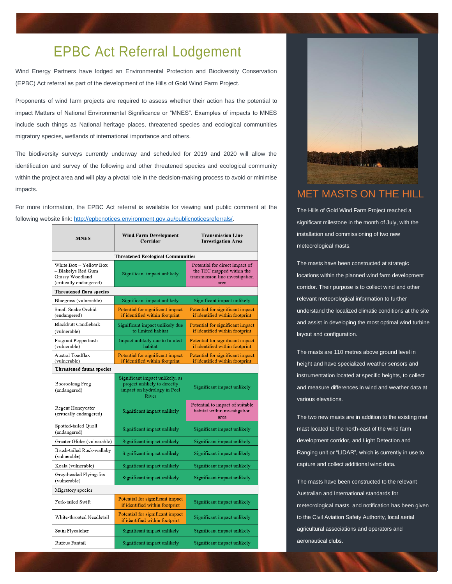## EPBC Act Referral Lodgement

Wind Energy Partners have lodged an Environmental Protection and Biodiversity Conservation (EPBC) Act referral as part of the development of the Hills of Gold Wind Farm Project.

Proponents of wind farm projects are required to assess whether their action has the potential to impact Matters of National Environmental Significance or "MNES". Examples of impacts to MNES include such things as National heritage places, threatened species and ecological communities migratory species, wetlands of international importance and others.

The biodiversity surveys currently underway and scheduled for 2019 and 2020 will allow the identification and survey of the following and other threatened species and ecological community within the project area and will play a pivotal role in the decision-making process to avoid or minimise impacts.

For more information, the EPBC Act referral is available for viewing and public comment at the following website link: [http://epbcnotices.environment.gov.au/publicnoticesreferrals/.](http://epbcnotices.environment.gov.au/publicnoticesreferrals/) 

| <b>MNES</b>                                                                                | <b>Wind Farm Development</b><br>Corridor                                                                | <b>Transmission Line</b><br><b>Investigation Area</b>                                                  |
|--------------------------------------------------------------------------------------------|---------------------------------------------------------------------------------------------------------|--------------------------------------------------------------------------------------------------------|
| <b>Threatened Ecological Communities</b>                                                   |                                                                                                         |                                                                                                        |
| White Box - Yellow Box<br>– Blakelys Red Gum<br>Grassy Woodland<br>(critically endangered) | Significant impact unlikely                                                                             | Potential for direct impact of<br>the TEC mapped within the<br>transmission line investigation<br>area |
| <b>Threatened flora species</b>                                                            |                                                                                                         |                                                                                                        |
| Bluegrass (vulnerable)                                                                     | Significant impact unlikely                                                                             | Significant impact unlikely                                                                            |
| Small Snake Orchid<br>(endangered)                                                         | Potential for significant impact<br>if identified within footprint                                      | Potential for significant impact<br>if identified within footprint                                     |
| <b>Blackbutt Candlebark</b><br>(vulnerable)                                                | Significant impact unlikely due<br>to limited habitat                                                   | Potential for significant impact<br>if identified within footprint                                     |
| Fragrant Pepperbush<br>(vulnerable)                                                        | Impact unlikely due to limited<br>habitat                                                               | Potential for significant impact<br>if identified within footprint                                     |
| Austral Toadflax<br>(vulnerable)                                                           | Potential for significant impact<br>if identified within footprint                                      | Potential for significant impact<br>if identified within footprint                                     |
| Threatened fauna species                                                                   |                                                                                                         |                                                                                                        |
| Booroolong Frog<br>(endangered)                                                            | Significant impact unlikely, as<br>project unlikely to directly<br>impact on hydrology in Peel<br>River | Significant impact unlikely                                                                            |
| Regent Honeyeater<br>(critically endangered)                                               | Significant impact unlikely                                                                             | Potential to impact of suitable<br>habitat within investigation<br>area                                |
| Spotted-tailed Quoll<br>(endangered)                                                       | Significant impact unlikely                                                                             | Significant impact unlikely                                                                            |
| Greater Glider (vulnerable)                                                                | Significant impact unlikely                                                                             | Significant impact unlikely                                                                            |
| Brush-tailed Rock-wallaby<br>(vulnerable)                                                  | Significant impact unlikely                                                                             | Significant impact unlikely                                                                            |
| Koala (vulnerable)                                                                         | Significant impact unlikely                                                                             | Significant impact unlikely                                                                            |
| Grey-headed Flying-fox<br>(vulnerable)                                                     | Significant impact unlikely                                                                             | Significant impact unlikely                                                                            |
| Migratory species                                                                          |                                                                                                         |                                                                                                        |
| Fork-tailed Swift                                                                          | Potential for significant impact<br>if identified within footprint                                      | Significant impact unlikely                                                                            |
| White-throated Needletail                                                                  | Potential for significant impact<br>if identified within footprint                                      | Significant impact unlikely                                                                            |
| Satin Flycatcher                                                                           | Significant impact unlikely                                                                             | Significant impact unlikely                                                                            |
| Rufous Fantail                                                                             | Significant impact unlikely                                                                             | Significant impact unlikely                                                                            |



#### MET MASTS ON THE HILL

The Hills of Gold Wind Farm Project reached a significant milestone in the month of July, with the installation and commissioning of two new meteorological masts.

The masts have been constructed at strategic locations within the planned wind farm development corridor. Their purpose is to collect wind and other relevant meteorological information to further understand the localized climatic conditions at the site and assist in developing the most optimal wind turbine layout and configuration.

The masts are 110 metres above ground level in height and have specialized weather sensors and instrumentation located at specific heights, to collect and measure differences in wind and weather data at various elevations.

The two new masts are in addition to the existing met mast located to the north-east of the wind farm development corridor, and Light Detection and Ranging unit or "LIDAR", which is currently in use to capture and collect additional wind data.

The masts have been constructed to the relevant Australian and International standards for meteorological masts, and notification has been given to the Civil Aviation Safety Authority, local aerial agricultural associations and operators and aeronautical clubs.